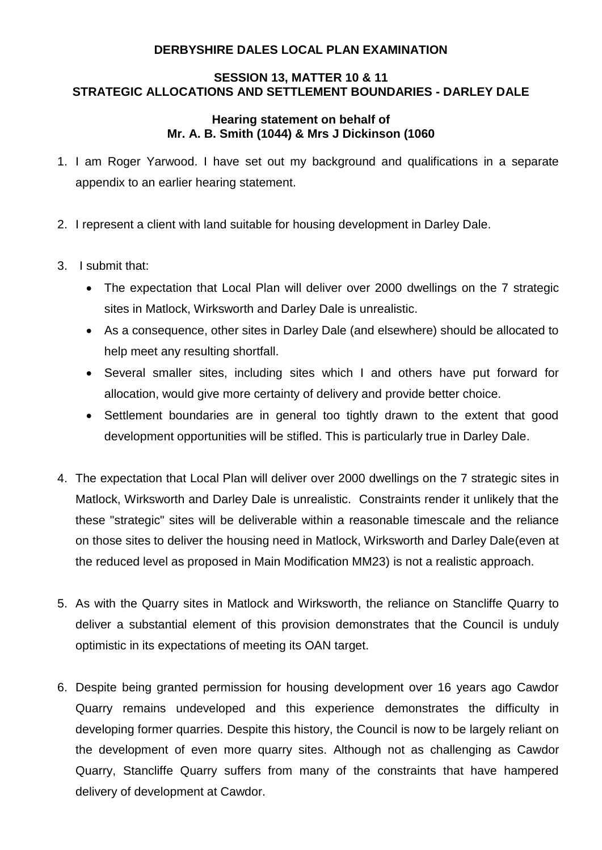## **DERBYSHIRE DALES LOCAL PLAN EXAMINATION**

## **SESSION 13, MATTER 10 & 11 STRATEGIC ALLOCATIONS AND SETTLEMENT BOUNDARIES - DARLEY DALE**

## **Hearing statement on behalf of Mr. A. B. Smith (1044) & Mrs J Dickinson (1060**

- 1. I am Roger Yarwood. I have set out my background and qualifications in a separate appendix to an earlier hearing statement.
- 2. I represent a client with land suitable for housing development in Darley Dale.
- 3. I submit that:
	- The expectation that Local Plan will deliver over 2000 dwellings on the 7 strategic sites in Matlock, Wirksworth and Darley Dale is unrealistic.
	- As a consequence, other sites in Darley Dale (and elsewhere) should be allocated to help meet any resulting shortfall.
	- Several smaller sites, including sites which I and others have put forward for allocation, would give more certainty of delivery and provide better choice.
	- Settlement boundaries are in general too tightly drawn to the extent that good development opportunities will be stifled. This is particularly true in Darley Dale.
- 4. The expectation that Local Plan will deliver over 2000 dwellings on the 7 strategic sites in Matlock, Wirksworth and Darley Dale is unrealistic. Constraints render it unlikely that the these "strategic" sites will be deliverable within a reasonable timescale and the reliance on those sites to deliver the housing need in Matlock, Wirksworth and Darley Dale(even at the reduced level as proposed in Main Modification MM23) is not a realistic approach.
- 5. As with the Quarry sites in Matlock and Wirksworth, the reliance on Stancliffe Quarry to deliver a substantial element of this provision demonstrates that the Council is unduly optimistic in its expectations of meeting its OAN target.
- 6. Despite being granted permission for housing development over 16 years ago Cawdor Quarry remains undeveloped and this experience demonstrates the difficulty in developing former quarries. Despite this history, the Council is now to be largely reliant on the development of even more quarry sites. Although not as challenging as Cawdor Quarry, Stancliffe Quarry suffers from many of the constraints that have hampered delivery of development at Cawdor.